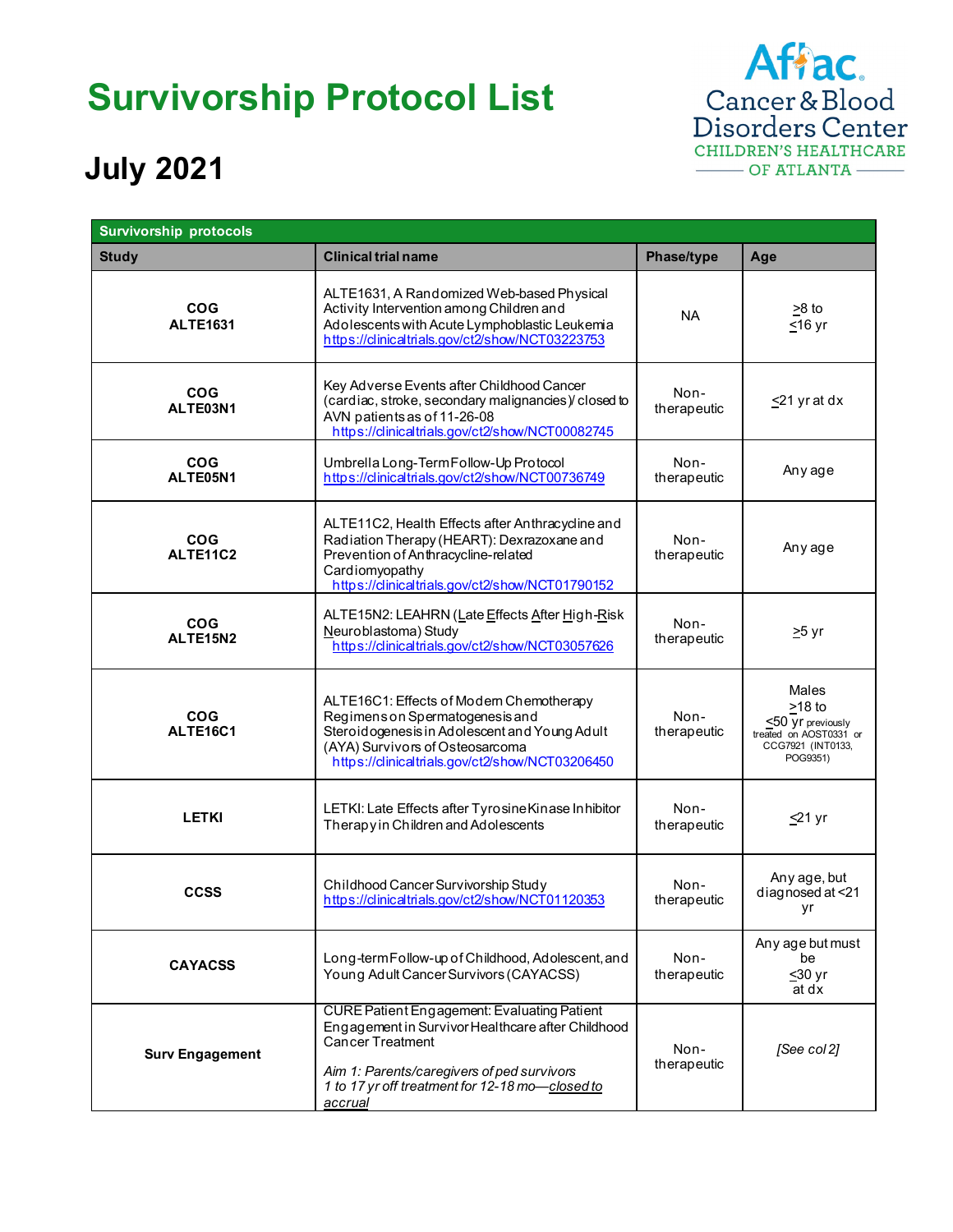## **Survivorship Protocol List**



## **July 2021**

| <b>Survivorship protocols</b> |                                                                                                                                                                                                                                         |                     |                                                                                                       |  |
|-------------------------------|-----------------------------------------------------------------------------------------------------------------------------------------------------------------------------------------------------------------------------------------|---------------------|-------------------------------------------------------------------------------------------------------|--|
| <b>Study</b>                  | <b>Clinical trial name</b>                                                                                                                                                                                                              | Phase/type          | Age                                                                                                   |  |
| <b>COG</b><br><b>ALTE1631</b> | ALTE1631, A Randomized Web-based Physical<br>Activity Intervention among Children and<br>Adolescents with Acute Lymphoblastic Leukemia<br>https://clinicaltrials.gov/ct2/show/NCT03223753                                               | NA                  | $>8$ to<br>$≤16$ yr                                                                                   |  |
| <b>COG</b><br>ALTE03N1        | Key Adverse Events after Childhood Cancer<br>(cardiac, stroke, secondary malignancies) closed to<br>AVN patients as of 11-26-08<br>https://clinicaltrials.gov/ct2/show/NCT00082745                                                      | Non-<br>therapeutic | $\leq$ 21 yr at dx                                                                                    |  |
| <b>COG</b><br>ALTE05N1        | Umbrella Long-Term Follow-Up Protocol<br>https://clinicaltrials.gov/ct2/show/NCT00736749                                                                                                                                                | Non-<br>therapeutic | Any age                                                                                               |  |
| <b>COG</b><br>ALTE11C2        | ALTE11C2, Health Effects after Anthracycline and<br>Radiation Therapy (HEART): Dexrazoxane and<br>Prevention of Anthracycline-related<br>Cardiomyopathy<br>https://clinicaltrials.gov/ct2/show/NCT01790152                              | Non-<br>therapeutic | Any age                                                                                               |  |
| <b>COG</b><br>ALTE15N2        | ALTE15N2: LEAHRN (Late Effects After High-Risk<br>Neuroblastoma) Study<br>https://clinicaltrials.gov/ct2/show/NCT03057626                                                                                                               | Non-<br>therapeutic | $\geq$ 5 yr                                                                                           |  |
| <b>COG</b><br>ALTE16C1        | ALTE16C1: Effects of Modern Chemotherapy<br>Regimens on Spermatogenesis and<br>Steroidogenesis in Adolescent and Young Adult<br>(AYA) Survivors of Osteosarcoma<br>https://clinicaltrials.gov/ct2/show/NCT03206450                      | Non-<br>therapeutic | Males<br>$\geq$ 18 to<br>≤50 yr previously<br>treated on AOST0331 or<br>CCG7921 (INT0133,<br>POG9351) |  |
| <b>LETKI</b>                  | LETKI: Late Effects after Tyrosine Kinase Inhibitor<br>Therapy in Children and Adolescents                                                                                                                                              | Non-<br>therapeutic | $\leq$ 21 yr                                                                                          |  |
| <b>CCSS</b>                   | Childhood Cancer Survivorship Study<br>https://clinicaltrials.gov/ct2/show/NCT01120353                                                                                                                                                  | Non-<br>therapeutic | Any age, but<br>diagnosed at <21<br>уr                                                                |  |
| <b>CAYACSS</b>                | Long-term Follow-up of Childhood, Adolescent, and<br>Young Adult Cancer Survivors (CAYACSS)                                                                                                                                             | Non-<br>therapeutic | Any age but must<br>be<br>$\leq$ 30 yr<br>at dx                                                       |  |
| <b>Surv Engagement</b>        | <b>CURE Patient Engagement: Evaluating Patient</b><br>Engagement in Survivor Healthcare after Childhood<br>Cancer Treatment<br>Aim 1: Parents/caregivers of ped survivors<br>1 to 17 yr off treatment for 12-18 mo-closed to<br>accrual | Non-<br>therapeutic | [See col 2]                                                                                           |  |